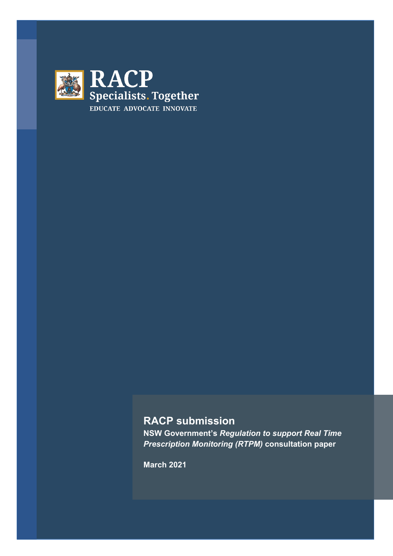

# **RACP submission**

**NSW Government's** *Regulation to support Real Time Prescription Monitoring (RTPM)* **consultation paper**

**March 2021**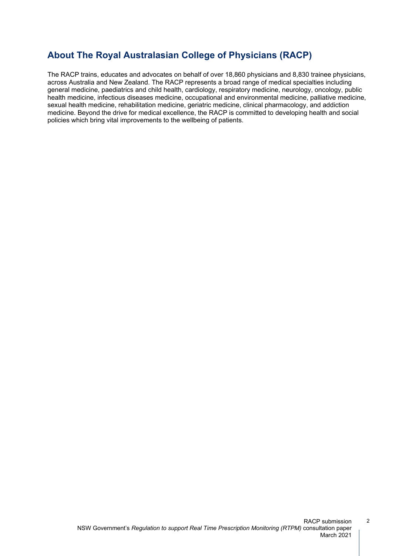## **About The Royal Australasian College of Physicians (RACP)**

The RACP trains, educates and advocates on behalf of over 18,860 physicians and 8,830 trainee physicians, across Australia and New Zealand. The RACP represents a broad range of medical specialties including general medicine, paediatrics and child health, cardiology, respiratory medicine, neurology, oncology, public health medicine, infectious diseases medicine, occupational and environmental medicine, palliative medicine, sexual health medicine, rehabilitation medicine, geriatric medicine, clinical pharmacology, and addiction medicine. Beyond the drive for medical excellence, the RACP is committed to developing health and social policies which bring vital improvements to the wellbeing of patients.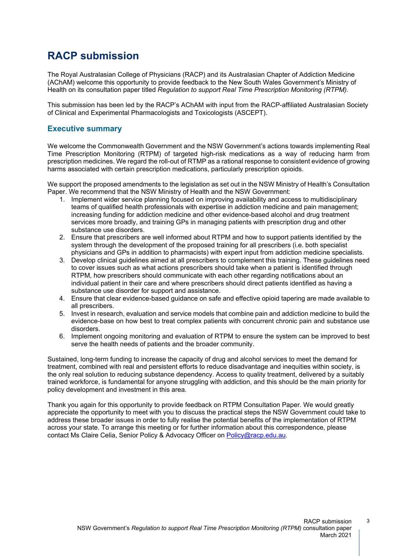# **RACP submission**

The Royal Australasian College of Physicians (RACP) and its Australasian Chapter of Addiction Medicine (AChAM) welcome this opportunity to provide feedback to the New South Wales Government's Ministry of Health on its consultation paper titled *Regulation to support Real Time Prescription Monitoring (RTPM).*

This submission has been led by the RACP's AChAM with input from the RACP-affiliated Australasian Society of Clinical and Experimental Pharmacologists and Toxicologists (ASCEPT).

### **Executive summary**

We welcome the Commonwealth Government and the NSW Government's actions towards implementing Real Time Prescription Monitoring (RTPM) of targeted high-risk medications as a way of reducing harm from prescription medicines. We regard the roll-out of RTMP as a rational response to consistent evidence of growing harms associated with certain prescription medications, particularly prescription opioids.

We support the proposed amendments to the legislation as set out in the NSW Ministry of Health's Consultation Paper. We recommend that the NSW Ministry of Health and the NSW Government:

- 1. Implement wider service planning focused on improving availability and access to multidisciplinary teams of qualified health professionals with expertise in addiction medicine and pain management; increasing funding for addiction medicine and other evidence-based alcohol and drug treatment services more broadly, and training GPs in managing patients with prescription drug and other substance use disorders.
- 2. Ensure that prescribers are well informed about RTPM and how to support patients identified by the system through the development of the proposed training for all prescribers (i.e. both specialist physicians and GPs in addition to pharmacists) with expert input from addiction medicine specialists.
- 3. Develop clinical guidelines aimed at all prescribers to complement this training. These guidelines need to cover issues such as what actions prescribers should take when a patient is identified through RTPM, how prescribers should communicate with each other regarding notifications about an individual patient in their care and where prescribers should direct patients identified as having a substance use disorder for support and assistance.
- 4. Ensure that clear evidence-based guidance on safe and effective opioid tapering are made available to all prescribers.
- 5. Invest in research, evaluation and service models that combine pain and addiction medicine to build the evidence-base on how best to treat complex patients with concurrent chronic pain and substance use disorders.
- 6. Implement ongoing monitoring and evaluation of RTPM to ensure the system can be improved to best serve the health needs of patients and the broader community.

Sustained, long-term funding to increase the capacity of drug and alcohol services to meet the demand for treatment, combined with real and persistent efforts to reduce disadvantage and inequities within society, is the only real solution to reducing substance dependency. Access to quality treatment, delivered by a suitably trained workforce, is fundamental for anyone struggling with addiction, and this should be the main priority for policy development and investment in this area.

Thank you again for this opportunity to provide feedback on RTPM Consultation Paper. We would greatly appreciate the opportunity to meet with you to discuss the practical steps the NSW Government could take to address these broader issues in order to fully realise the potential benefits of the implementation of RTPM across your state. To arrange this meeting or for further information about this correspondence, please contact Ms Claire Celia, Senior Policy & Advocacy Officer on [Policy@racp.edu.au.](mailto:Policy@racp.edu.au)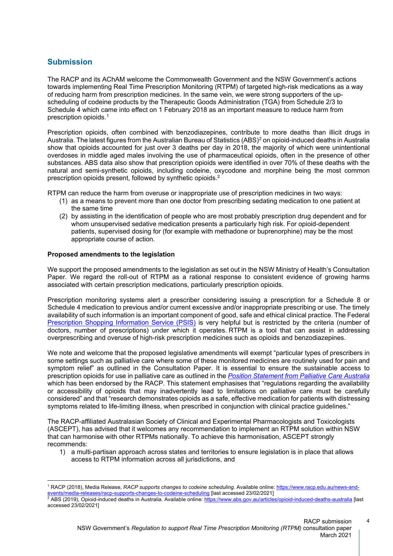### **Submission**

The RACP and its AChAM welcome the Commonwealth Government and the NSW Government's actions towards implementing Real Time Prescription Monitoring (RTPM) of targeted high-risk medications as a way of reducing harm from prescription medicines. In the same vein, we were strong supporters of the upscheduling of codeine products by the Therapeutic Goods Administration (TGA) from Schedule 2/3 to Schedule 4 which came into effect on 1 February 2018 as an important measure to reduce harm from prescription opioids.[1](#page-3-1)

Prescription opioids, often combined with benzodiazepines, contribute to more deaths than illicit drugs in Australia. The latest figures from the Australian Bureau of Statistics (ABS)<sup>[2](#page-3-2)</sup> on opioid-induced deaths in Australia show that opioids accounted for just over 3 deaths per day in 2018, the majority of which were unintentional overdoses in middle aged males involving the use of pharmaceutical opioids, often in the presence of other substances. ABS data also show that prescription opioids were identified in over 70% of these deaths with the natural and semi-synthetic opioids, including codeine, oxycodone and morphine being the most common prescription opioids present, followed by synthetic opioids[.2](#page-3-0)

RTPM can reduce the harm from overuse or inappropriate use of prescription medicines in two ways:

- <span id="page-3-0"></span>(1) as a means to prevent more than one doctor from prescribing sedating medication to one patient at the same time
- (2) by assisting in the identification of people who are most probably prescription drug dependent and for whom unsupervised sedative medication presents a particularly high risk. For opioid-dependent patients, supervised dosing for (for example with methadone or buprenorphine) may be the most appropriate course of action.

#### **Proposed amendments to the legislation**

We support the proposed amendments to the legislation as set out in the NSW Ministry of Health's Consultation Paper*.* We regard the roll-out of RTPM as a rational response to consistent evidence of growing harms associated with certain prescription medications, particularly prescription opioids.

Prescription monitoring systems alert a prescriber considering issuing a prescription for a Schedule 8 or Schedule 4 medication to previous and/or current excessive and/or inappropriate prescribing or use. The timely availability of such information is an important component of good, safe and ethical clinical practice. The Federal [Prescription Shopping Information Service \(PSIS\)](https://www.servicesaustralia.gov.au/organisations/health-professionals/services/medicare/prescription-shopping-programme) is very helpful but is restricted by the criteria (number of doctors, number of prescriptions) under which it operates. RTPM is a tool that can assist in addressing overprescribing and overuse of high-risk prescription medicines such as opioids and benzodiazepines.

We note and welcome that the proposed legislative amendments will exempt "particular types of prescribers in some settings such as palliative care where some of these monitored medicines are routinely used for pain and symptom relief" as outlined in the Consultation Paper. It is essential to ensure the sustainable access to prescription opioids for use in palliative care as outlined in the *[Position Statement from Palliative Care Australia](https://palliativecare.org.au/wp-content/uploads/dlm_uploads/2019/05/PalliativeCare-Opioid-Position-Final.pdf)*  which has been endorsed by the RACP. This statement emphasises that "regulations regarding the availability or accessibility of opioids that may inadvertently lead to limitations on palliative care must be carefully considered" and that "research demonstrates opioids as a safe, effective medication for patients with distressing symptoms related to life-limiting illness, when prescribed in conjunction with clinical practice guidelines."

The RACP-affiliated Australasian Society of Clinical and Experimental Pharmacologists and Toxicologists (ASCEPT), has advised that it welcomes any recommendation to implement an RTPM solution within NSW that can harmonise with other RTPMs nationally. To achieve this harmonisation, ASCEPT strongly recommends:

1) a multi-partisan approach across states and territories to ensure legislation is in place that allows access to RTPM information across all jurisdictions, and

<span id="page-3-1"></span><sup>1</sup> RACP (2018), Media Release, *RACP supports changes to codeine scheduling.* Available online: [https://www.racp.edu.au/news-and](https://www.racp.edu.au/news-and-events/media-releases/racp-supports-changes-to-codeine-scheduling)[events/media-releases/racp-supports-changes-to-codeine-scheduling](https://www.racp.edu.au/news-and-events/media-releases/racp-supports-changes-to-codeine-scheduling) [last accessed 23/02/2021]

<span id="page-3-2"></span><sup>&</sup>lt;sup>2</sup> ABS (2019), Opioid-induced deaths in Australia. Available online: <u><https://www.abs.gov.au/articles/opioid-induced-deaths-australia></u> [last accessed 23/02/2021]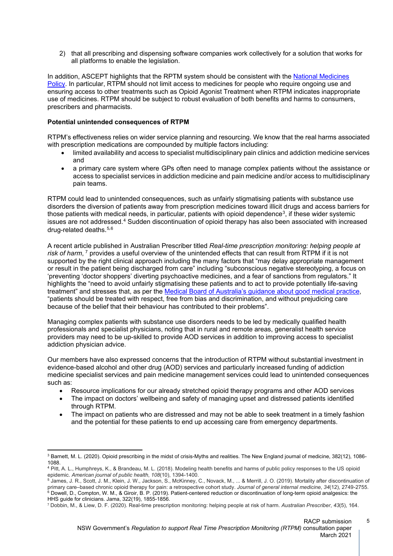2) that all prescribing and dispensing software companies work collectively for a solution that works for all platforms to enable the legislation.

In addition, ASCEPT highlights that the RPTM system should be consistent with the [National Medicines](https://www1.health.gov.au/internet/main/publishing.nsf/content/national+medicines+policy-1)  [Policy.](https://www1.health.gov.au/internet/main/publishing.nsf/content/national+medicines+policy-1) In particular, RTPM should not limit access to medicines for people who require ongoing use and ensuring access to other treatments such as Opioid Agonist Treatment when RTPM indicates inappropriate use of medicines. RTPM should be subject to robust evaluation of both benefits and harms to consumers, prescribers and pharmacists.

#### **Potential unintended consequences of RTPM**

RTPM's effectiveness relies on wider service planning and resourcing. We know that the real harms associated with prescription medications are compounded by multiple factors including:

- limited availability and access to specialist multidisciplinary pain clinics and addiction medicine services and
- a primary care system where GPs often need to manage complex patients without the assistance or access to specialist services in addiction medicine and pain medicine and/or access to multidisciplinary pain teams.

RTPM could lead to unintended consequences, such as unfairly stigmatising patients with substance use disorders the diversion of patients away from prescription medicines toward illicit drugs and access barriers for those patients with medical needs, in particular, patients with opioid dependence<sup>3</sup>, if these wider systemic issues are not addressed.<sup>[4](#page-4-1)</sup> Sudden discontinuation of opioid therapy has also been associated with increased drug-related deaths. [5](#page-4-2),[6](#page-4-3)

A recent article published in Australian Prescriber titled *Real-time prescription monitoring: helping people at*  risk of harm, <sup>[7](#page-4-4)</sup> provides a useful overview of the unintended effects that can result from RTPM if it is not supported by the right clinical approach including the many factors that "may delay appropriate management or result in the patient being discharged from care" including "subconscious negative stereotyping, a focus on 'preventing 'doctor shoppers' diverting psychoactive medicines, and a fear of sanctions from regulators." It highlights the "need to avoid unfairly stigmatising these patients and to act to provide potentially life-saving treatment" and stresses that, as per the [Medical Board of Australia's guidance about good medical practice,](https://www.medicalboard.gov.au/codes-guidelines-policies/code-of-conduct.aspx) "patients should be treated with respect, free from bias and discrimination, and without prejudicing care because of the belief that their behaviour has contributed to their problems".

Managing complex patients with substance use disorders needs to be led by medically qualified health professionals and specialist physicians, noting that in rural and remote areas, generalist health service providers may need to be up-skilled to provide AOD services in addition to improving access to specialist addiction physician advice.

Our members have also expressed concerns that the introduction of RTPM without substantial investment in evidence-based alcohol and other drug (AOD) services and particularly increased funding of addiction medicine specialist services and pain medicine management services could lead to unintended consequences such as:

- Resource implications for our already stretched opioid therapy programs and other AOD services
- The impact on doctors' wellbeing and safety of managing upset and distressed patients identified through RTPM.
- The impact on patients who are distressed and may not be able to seek treatment in a timely fashion and the potential for these patients to end up accessing care from emergency departments.

<span id="page-4-0"></span><sup>3</sup> Barnett, M. L. (2020). Opioid prescribing in the midst of crisis-Myths and realities. The New England journal of medicine, 382(12), 1086- 1088.

<span id="page-4-1"></span><sup>4</sup> Pitt, A. L., Humphreys, K., & Brandeau, M. L. (2018). Modeling health benefits and harms of public policy responses to the US opioid epidemic. *American journal of public health*, *108*(10), 1394-1400.

<span id="page-4-3"></span><span id="page-4-2"></span> $^5$  James, J. R., Scott, J. M., Klein, J. W., Jackson, S., McKinney, C., Novack, M., ... & Merrill, J. O. (2019). Mortality after discontinuation of primary care–based chronic opioid therapy for pain: a retrospective cohort study. *Journal of general internal medicine*, *34*(12), 2749-2755. <sup>6</sup> Dowell, D., Compton, W. M., & Giroir, B. P. (2019). Patient-centered reduction or discontinuation of long-term opioid analgesics: the HHS guide for clinicians. Jama, 322(19), 1855-1856.

<span id="page-4-4"></span><sup>7</sup> Dobbin, M., & Liew, D. F. (2020). Real-time prescription monitoring: helping people at risk of harm. *Australian Prescriber*, *43*(5), 164.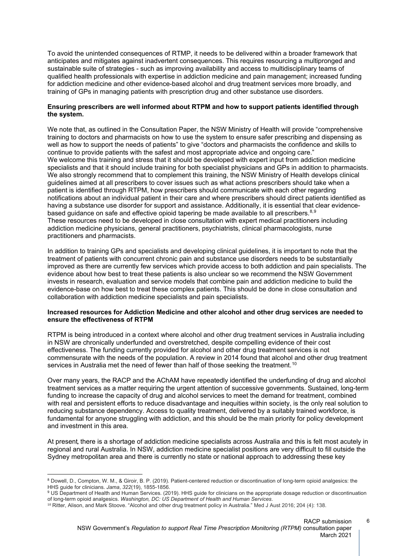To avoid the unintended consequences of RTMP, it needs to be delivered within a broader framework that anticipates and mitigates against inadvertent consequences. This requires resourcing a multipronged and sustainable suite of strategies - such as improving availability and access to multidisciplinary teams of qualified health professionals with expertise in addiction medicine and pain management; increased funding for addiction medicine and other evidence-based alcohol and drug treatment services more broadly, and training of GPs in managing patients with prescription drug and other substance use disorders.

#### **Ensuring prescribers are well informed about RTPM and how to support patients identified through the system.**

We note that, as outlined in the Consultation Paper, the NSW Ministry of Health will provide "comprehensive training to doctors and pharmacists on how to use the system to ensure safer prescribing and dispensing as well as how to support the needs of patients" to give "doctors and pharmacists the confidence and skills to continue to provide patients with the safest and most appropriate advice and ongoing care." We welcome this training and stress that it should be developed with expert input from addiction medicine specialists and that it should include training for both specialist physicians and GPs in addition to pharmacists. We also strongly recommend that to complement this training, the NSW Ministry of Health develops clinical guidelines aimed at all prescribers to cover issues such as what actions prescribers should take when a patient is identified through RTPM, how prescribers should communicate with each other regarding notifications about an individual patient in their care and where prescribers should direct patients identified as having a substance use disorder for support and assistance. Additionally, it is essential that clear evidence-based guidance on safe and effective opioid tapering be made available to all prescribers.<sup>[8](#page-5-0),[9](#page-5-1)</sup> These resources need to be developed in close consultation with expert medical practitioners including addiction medicine physicians, general practitioners, psychiatrists, clinical pharmacologists, nurse practitioners and pharmacists.

In addition to training GPs and specialists and developing clinical guidelines, it is important to note that the treatment of patients with concurrent chronic pain and substance use disorders needs to be substantially improved as there are currently few services which provide access to both addiction and pain specialists. The evidence about how best to treat these patients is also unclear so we recommend the NSW Government invests in research, evaluation and service models that combine pain and addiction medicine to build the evidence-base on how best to treat these complex patients. This should be done in close consultation and collaboration with addiction medicine specialists and pain specialists.

#### **Increased resources for Addiction Medicine and other alcohol and other drug services are needed to ensure the effectiveness of RTPM**

RTPM is being introduced in a context where alcohol and other drug treatment services in Australia including in NSW are chronically underfunded and overstretched, despite compelling evidence of their cost effectiveness. The funding currently provided for alcohol and other drug treatment services is not commensurate with the needs of the population. A review in 2014 found that alcohol and other drug treatment services in Australia met the need of fewer than half of those seeking the treatment.<sup>[10](#page-5-2)</sup>

Over many years, the RACP and the AChAM have repeatedly identified the underfunding of drug and alcohol treatment services as a matter requiring the urgent attention of successive governments. Sustained, long-term funding to increase the capacity of drug and alcohol services to meet the demand for treatment, combined with real and persistent efforts to reduce disadvantage and inequities within society, is the only real solution to reducing substance dependency. Access to quality treatment, delivered by a suitably trained workforce, is fundamental for anyone struggling with addiction, and this should be the main priority for policy development and investment in this area.

At present, there is a shortage of addiction medicine specialists across Australia and this is felt most acutely in regional and rural Australia. In NSW, addiction medicine specialist positions are very difficult to fill outside the Sydney metropolitan area and there is currently no state or national approach to addressing these key

<span id="page-5-0"></span><sup>8</sup> Dowell, D., Compton, W. M., & Giroir, B. P. (2019). Patient-centered reduction or discontinuation of long-term opioid analgesics: the HHS guide for clinicians. *Jama*, *322*(19), 1855-1856.

<span id="page-5-1"></span><sup>9</sup> US Department of Health and Human Services. (2019). HHS guide for clinicians on the appropriate dosage reduction or discontinuation of long-term opioid analgesics. *Washington, DC: US Department of Health and Human Services*.

<span id="page-5-2"></span><sup>10</sup> Ritter, Alison, and Mark Stoove. "Alcohol and other drug treatment policy in Australia." Med J Aust 2016; 204 (4): 138.